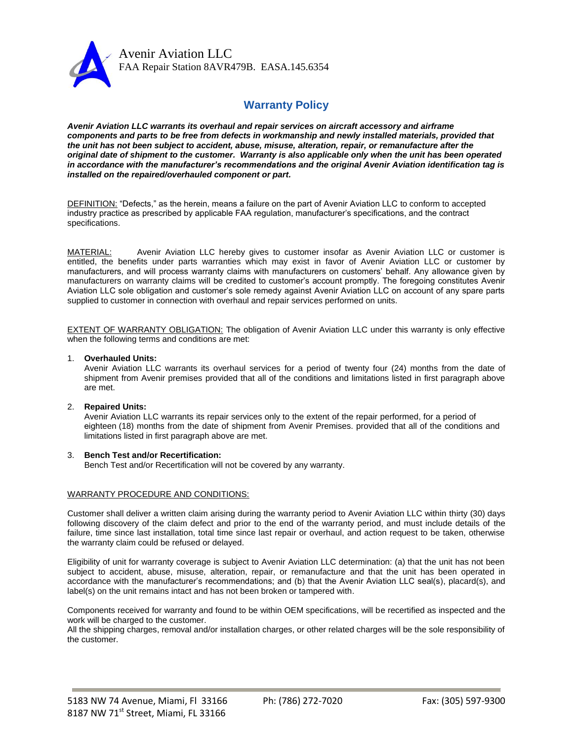

Avenir Aviation LLC FAA Repair Station 8AVR479B. EASA.145.6354

# **Warranty Policy**

*Avenir Aviation LLC warrants its overhaul and repair services on aircraft accessory and airframe components and parts to be free from defects in workmanship and newly installed materials, provided that the unit has not been subject to accident, abuse, misuse, alteration, repair, or remanufacture after the original date of shipment to the customer. Warranty is also applicable only when the unit has been operated in accordance with the manufacturer's recommendations and the original Avenir Aviation identification tag is installed on the repaired/overhauled component or part.*

DEFINITION: "Defects," as the herein, means a failure on the part of Avenir Aviation LLC to conform to accepted industry practice as prescribed by applicable FAA regulation, manufacturer's specifications, and the contract specifications.

MATERIAL: Avenir Aviation LLC hereby gives to customer insofar as Avenir Aviation LLC or customer is entitled, the benefits under parts warranties which may exist in favor of Avenir Aviation LLC or customer by manufacturers, and will process warranty claims with manufacturers on customers' behalf. Any allowance given by manufacturers on warranty claims will be credited to customer's account promptly. The foregoing constitutes Avenir Aviation LLC sole obligation and customer's sole remedy against Avenir Aviation LLC on account of any spare parts supplied to customer in connection with overhaul and repair services performed on units.

EXTENT OF WARRANTY OBLIGATION: The obligation of Avenir Aviation LLC under this warranty is only effective when the following terms and conditions are met:

### 1. **Overhauled Units:**

Avenir Aviation LLC warrants its overhaul services for a period of twenty four (24) months from the date of shipment from Avenir premises provided that all of the conditions and limitations listed in first paragraph above are met.

# 2. **Repaired Units:**

Avenir Aviation LLC warrants its repair services only to the extent of the repair performed, for a period of eighteen (18) months from the date of shipment from Avenir Premises. provided that all of the conditions and limitations listed in first paragraph above are met.

# 3. **Bench Test and/or Recertification:**

Bench Test and/or Recertification will not be covered by any warranty.

# WARRANTY PROCEDURE AND CONDITIONS:

Customer shall deliver a written claim arising during the warranty period to Avenir Aviation LLC within thirty (30) days following discovery of the claim defect and prior to the end of the warranty period, and must include details of the failure, time since last installation, total time since last repair or overhaul, and action request to be taken, otherwise the warranty claim could be refused or delayed.

Eligibility of unit for warranty coverage is subject to Avenir Aviation LLC determination: (a) that the unit has not been subject to accident, abuse, misuse, alteration, repair, or remanufacture and that the unit has been operated in accordance with the manufacturer's recommendations; and (b) that the Avenir Aviation LLC seal(s), placard(s), and label(s) on the unit remains intact and has not been broken or tampered with.

Components received for warranty and found to be within OEM specifications, will be recertified as inspected and the work will be charged to the customer.

All the shipping charges, removal and/or installation charges, or other related charges will be the sole responsibility of the customer.